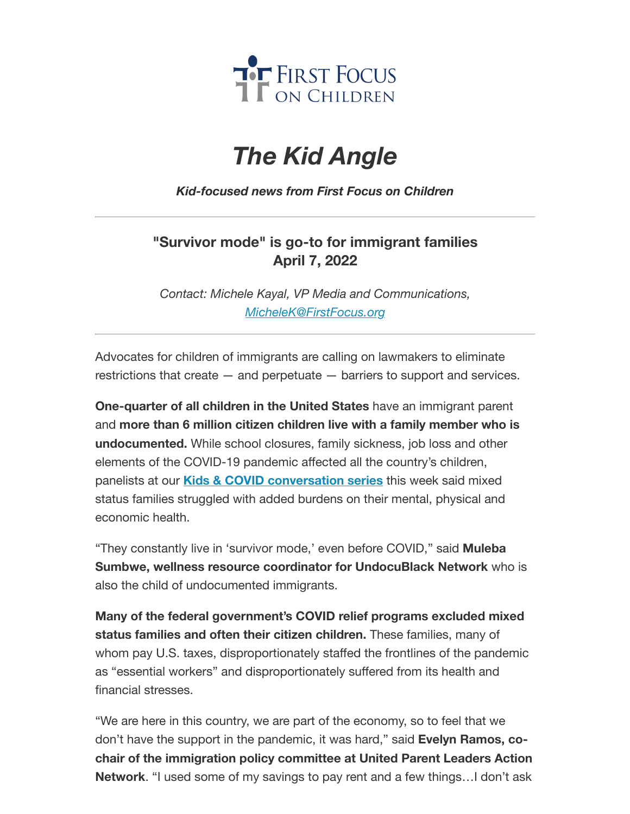

# *The Kid Angle*

*Kid-focused news from First Focus on Children*

## **"Survivor mode" is go-to for immigrant families April 7, 2022**

*Contact: Michele Kayal, VP Media and Communications, [MicheleK@FirstFocus.org](mailto:MicheleK@firstfocus.org)*

Advocates for children of immigrants are calling on lawmakers to eliminate restrictions that create — and perpetuate — barriers to support and services.

**One-quarter of all children in the United States** have an immigrant parent and **more than 6 million citizen children live with a family member who is undocumented.** While school closures, family sickness, job loss and other elements of the COVID-19 pandemic affected all the country's children, panelists at our **Kids & COVID [conversation](https://join.firstfocus.org/kidsandcovid?e=6d50ef9bac605c372bd31a2e7c9cacfd&utm_source=ffcc&utm_medium=email&utm_campaign=_95_supporters&n=2&test_email=1) series** this week said mixed status families struggled with added burdens on their mental, physical and economic health.

"They constantly live in 'survivor mode,' even before COVID," said **Muleba Sumbwe, wellness resource coordinator for UndocuBlack Network** who is also the child of undocumented immigrants.

**Many of the federal government's COVID relief programs excluded mixed status families and often their citizen children.** These families, many of whom pay U.S. taxes, disproportionately staffed the frontlines of the pandemic as "essential workers" and disproportionately suffered from its health and financial stresses.

"We are here in this country, we are part of the economy, so to feel that we don't have the support in the pandemic, it was hard," said **Evelyn Ramos, cochair of the immigration policy committee at United Parent Leaders Action Network**. "I used some of my savings to pay rent and a few things…I don't ask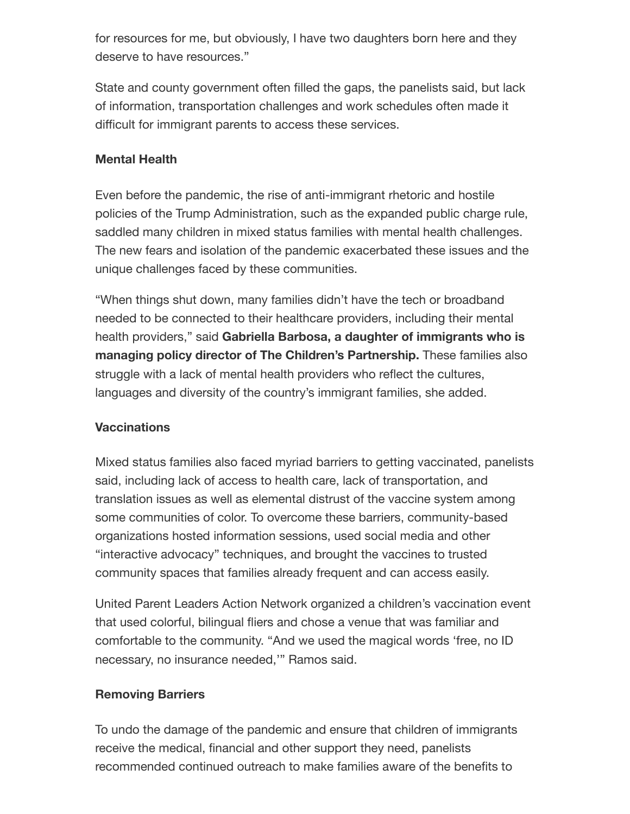for resources for me, but obviously, I have two daughters born here and they deserve to have resources."

State and county government often filled the gaps, the panelists said, but lack of information, transportation challenges and work schedules often made it difficult for immigrant parents to access these services.

### **Mental Health**

Even before the pandemic, the rise of anti-immigrant rhetoric and hostile policies of the Trump Administration, such as the expanded public charge rule, saddled many children in mixed status families with mental health challenges. The new fears and isolation of the pandemic exacerbated these issues and the unique challenges faced by these communities.

"When things shut down, many families didn't have the tech or broadband needed to be connected to their healthcare providers, including their mental health providers," said **Gabriella Barbosa, a daughter of immigrants who is managing policy director of The Children's Partnership.** These families also struggle with a lack of mental health providers who reflect the cultures, languages and diversity of the country's immigrant families, she added.

### **Vaccinations**

Mixed status families also faced myriad barriers to getting vaccinated, panelists said, including lack of access to health care, lack of transportation, and translation issues as well as elemental distrust of the vaccine system among some communities of color. To overcome these barriers, community-based organizations hosted information sessions, used social media and other "interactive advocacy" techniques, and brought the vaccines to trusted community spaces that families already frequent and can access easily.

United Parent Leaders Action Network organized a children's vaccination event that used colorful, bilingual fliers and chose a venue that was familiar and comfortable to the community. "And we used the magical words 'free, no ID necessary, no insurance needed,'" Ramos said.

### **Removing Barriers**

To undo the damage of the pandemic and ensure that children of immigrants receive the medical, financial and other support they need, panelists recommended continued outreach to make families aware of the benefits to